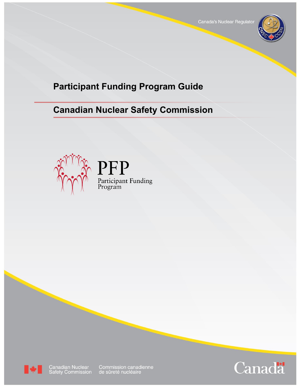

# **Participant Funding Program Guide**

# **Canadian Nuclear Safety Commission**





Canadian Nuclear<br>Safety Commission

Commission canadienne<br>de sûreté nucléaire

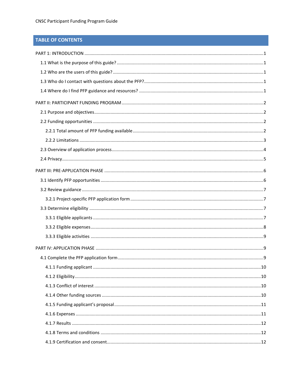# **TABLE OF CONTENTS**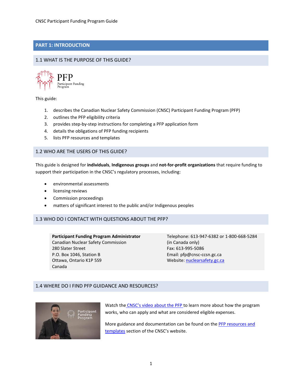# **PART 1: INTRODUCTION**

# 1.1 WHAT IS THE PURPOSE OF THIS GUIDE?



This guide:

- 1. describes the Canadian Nuclear Safety Commission (CNSC) Participant Funding Program (PFP)
- 2. outlines the PFP eligibility criteria
- 3. provides step-by-step instructions for completing a PFP application form
- 4. details the obligations of PFP funding recipients
- 5. lists PFP resources and templates

## 1.2 WHO ARE THE USERS OF THIS GUIDE?

This guide is designed for **individuals**, **Indigenous groups** and **not-for-profit organizations** that require funding to support their participation in the CNSC's regulatory processes, including:

- environmental assessments
- licensing reviews
- Commission proceedings
- matters of significant interest to the public and/or Indigenous peoples

# 1.3 WHO DO I CONTACT WITH QUESTIONS ABOUT THE PFP?

**Participant Funding Program Administrator** Canadian Nuclear Safety Commission 280 Slater Street P.O. Box 1046, Station B Ottawa, Ontario K1P 5S9 Canada

Telephone: 613-947-6382 or 1-800-668-5284 (in Canada only) Fax: 613-995-5086 Email: pfp@cnsc-ccsn.gc.ca Website: [nuclearsafety.gc.ca](http://www.nuclearsafety.gc.ca/)

## 1.4 WHERE DO I FIND PFP GUIDANCE AND RESOURCES?



Watch the [CNSC's video about the PFP t](http://nuclearsafety.gc.ca/eng/resources/videos/index.cfm)o learn more about how the program works, who can apply and what are considered eligible expenses.

More guidance and documentation can be found on the [PFP resources and](http://nuclearsafety.gc.ca/eng/the-commission/participant-funding-program/resources-and-templates.cfm) [templates](http://nuclearsafety.gc.ca/eng/the-commission/participant-funding-program/resources-and-templates.cfm) section of the CNSC's website.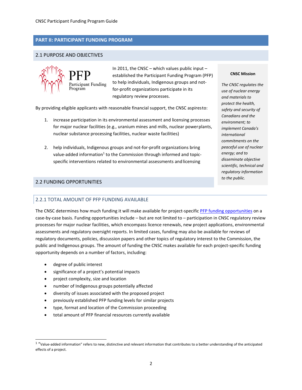# **PART II: PARTICIPANT FUNDING PROGRAM**

# 2.1 PURPOSE AND OBJECTIVES



In 2011, the CNSC – which values public input – established the Participant Funding Program (PFP) to help individuals, Indigenous groups and notfor-profit organizations participate in its regulatory review processes.

By providing eligible applicants with reasonable financial support, the CNSC aspiresto:

- 1. increase participation in its environmental assessment and licensing processes for major nuclear facilities (e.g., uranium mines and mills, nuclear powerplants, nuclear substance processing facilities, nuclear waste facilities)
- 2. help individuals, Indigenous groups and not-for-profit organizations bring value-added information<sup>1</sup> to the Commission through informed and topicspecific interventions related to environmental assessments and licensing

# 2.2 FUNDING OPPORTUNITIES

## 2.2.1 TOTAL AMOUNT OF PFP FUNDING AVAILABLE

The CNSC determines how much funding it will make available for project-specific [PFP funding opportunities](http://nuclearsafety.gc.ca/eng/the-commission/participant-funding-program/opportunities/index.cfm) on a case-by-case basis. Funding opportunities include – but are not limited to – participation in CNSC regulatory review processes for major nuclear facilities, which encompass licence renewals, new project applications, environmental assessments and regulatory oversight reports. In limited cases, funding may also be available for reviews of regulatory documents, policies, discussion papers and other topics of regulatory interest to the Commission, the public and Indigenous groups. The amount of funding the CNSC makes available for each project-specific funding opportunity depends on a number of factors, including:

- degree of public interest
- significance of a project's potential impacts
- project complexity, size and location
- number of Indigenous groups potentially affected
- diversity of issues associated with the proposed project
- previously established PFP funding levels for similar projects
- type, format and location of the Commission proceeding
- total amount of PFP financial resources currently available

#### **CNSC Mission**

*The CNSC regulates the use of nuclear energy and materials to protect the health, safety and security of Canadians and the environment; to implement Canada's international commitments on the peaceful use of nuclear energy; and to disseminate objective scientific, technical and regulatory information to the public.*

<sup>1</sup> "Value-added information" refers to new, distinctive and relevant information that contributes to a better understanding of the anticipated effects of a project.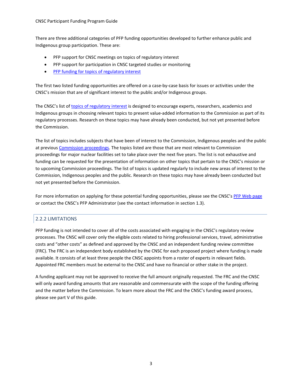There are three additional categories of PFP funding opportunities developed to further enhance public and Indigenous group participation. These are:

- PFP support for CNSC meetings on topics of regulatory interest
- PFP support for participation in CNSC targeted studies or monitoring
- [PFP funding for topics of regulatory](http://nuclearsafety.gc.ca/eng/the-commission/participant-funding-program/opportunities/pfp-funding-for-topics-of-regulatory-interest.cfm) interest

The first two listed funding opportunities are offered on a case-by-case basis for issues or activities under the CNSC's mission that are of significant interest to the public and/or Indigenous groups.

The CNSC's list o[f topics of regulatory interest](http://nuclearsafety.gc.ca/eng/the-commission/participant-funding-program/opportunities/pfp-funding-for-topics-of-regulatory-interest.cfm#topics) is designed to encourage experts, researchers, academics and Indigenous groups in choosing relevant topics to present value-added information to the Commission as part of its regulatory processes. Research on these topics may have already been conducted, but not yet presented before the Commission.

The list of topics includes subjects that have been of interest to the Commission, Indigenous peoples and the public at previou[s Commission proceedings. T](http://nuclearsafety.gc.ca/eng/the-commission/participant-funding-program/opportunities/pfp-funding-for-topics-of-regulatory-interest.cfm#upcoming)he topics listed are those that are most relevant to Commission proceedings for major nuclear facilities set to take place over the next five years. The list is not exhaustive and funding can be requested for the presentation of information on other topics that pertain to the CNSC's mission or to upcoming Commission proceedings. The list of topics is updated regularly to include new areas of interest to the Commission, Indigenous peoples and the public. Research on these topics may have already been conducted but not yet presented before the Commission.

For more information on applying for these potential funding opportunities, please see the CNSC'[s PFP Web page](http://nuclearsafety.gc.ca/eng/the-commission/participant-funding-program/index.cfm) or contact the CNSC's PFP Administrator (see the contact information in section 1.3).

# 2.2.2 LIMITATIONS

PFP funding is not intended to cover all of the costs associated with engaging in the CNSC's regulatory review processes. The CNSC will cover only the eligible costs related to hiring professional services, travel, administrative costs and "other costs" as defined and approved by the CNSC and an independent funding review committee (FRC). The FRC is an independent body established by the CNSC for each proposed project where funding is made available. It consists of at least three people the CNSC appoints from a roster of experts in relevant fields. Appointed FRC members must be external to the CNSC and have no financial or other stake in the project.

A funding applicant may not be approved to receive the full amount originally requested. The FRC and the CNSC will only award funding amounts that are reasonable and commensurate with the scope of the funding offering and the matter before the Commission. To learn more about the FRC and the CNSC's funding award process, please see part V of this guide.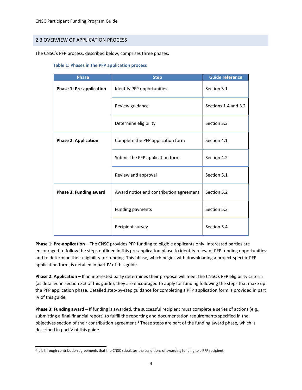# 2.3 OVERVIEW OF APPLICATION PROCESS

The CNSC's PFP process, described below, comprises three phases.

#### **Table 1: Phases in the PFP application process**

| <b>Phase</b>                    | <b>Step</b>                             | <b>Guide reference</b> |
|---------------------------------|-----------------------------------------|------------------------|
| <b>Phase 1: Pre-application</b> | Identify PFP opportunities              | Section 3.1            |
|                                 | Review guidance                         | Sections 1.4 and 3.2   |
|                                 | Determine eligibility                   | Section 3.3            |
| <b>Phase 2: Application</b>     | Complete the PFP application form       | Section 4.1            |
|                                 | Submit the PFP application form         | Section 4.2            |
|                                 | Review and approval                     | Section 5.1            |
| <b>Phase 3: Funding award</b>   | Award notice and contribution agreement | Section 5.2            |
|                                 | Funding payments                        | Section 5.3            |
|                                 | Recipient survey                        | Section 5.4            |

**Phase 1: Pre-application –** The CNSC provides PFP funding to eligible applicants only. Interested parties are encouraged to follow the steps outlined in this pre-application phase to identify relevant PFP funding opportunities and to determine their eligibility for funding. This phase, which begins with downloading a project-specific PFP application form, is detailed in part IV of this guide.

**Phase 2: Application –** If an interested party determines their proposal will meet the CNSC's PFP eligibility criteria (as detailed in section 3.3 of this guide), they are encouraged to apply for funding following the steps that make up the PFP application phase. Detailed step-by-step guidance for completing a PFP application form is provided in part IV of this guide.

**Phase 3: Funding award –** If funding is awarded, the successful recipient must complete a series of actions (e.g., submitting a final financial report) to fulfill the reporting and documentation requirements specified in the objectives section of their contribution agreement.<sup>2</sup> These steps are part of the funding award phase, which is described in part V of this guide.

<sup>&</sup>lt;sup>2</sup> It is through contribution agreements that the CNSC stipulates the conditions of awarding funding to a PFP recipient.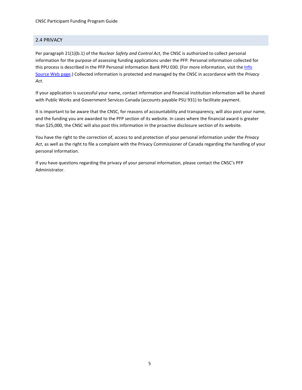# 2.4 PRIVACY

Per paragraph 21(1)(b.1) of the *Nuclear Safety and Control Act*, the CNSC is authorized to collect personal information for the purpose of assessing funding applications under the PFP*.* Personal information collected for this process is described in the PFP Personal Information Bank PPU 030. (For more information, visit th[e Info](http://www.nuclearsafety.gc.ca/eng/resources/publications/reports/access-to-information-and-privacy/info-source/index.cfm) [Source](http://www.nuclearsafety.gc.ca/eng/resources/publications/reports/access-to-information-and-privacy/info-source/index.cfm) Web page.) Collected information is protected and managed by the CNSC in accordance with the *Privacy Act*.

If your application is successful your name, contact information and financial institution information will be shared with Public Works and Government Services Canada (accounts payable PSU 931) to facilitate payment.

It is important to be aware that the CNSC, for reasons of accountability and transparency, will also post your name, and the funding you are awarded to the PFP section of its website. In cases where the financial award is greater than \$25,000, the CNSC will also post this information in the proactive disclosure section of its website.

You have the right to the correction of, access to and protection of your personal information under the *Privacy Act*, as well as the right to file a complaint with the Privacy Commissioner of Canada regarding the handling of your personal information.

If you have questions regarding the privacy of your personal information, please contact the CNSC's PFP Administrator.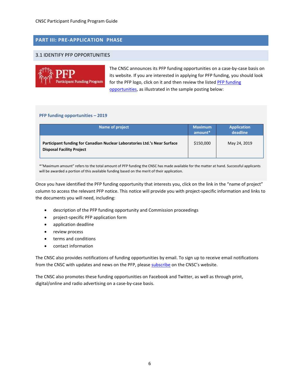# **PART III: PRE-APPLICATION PHASE**

## 3.1 IDENTIFY PFP OPPORTUNITIES



The CNSC announces its PFP funding opportunities on a case-by-case basis on its website. If you are interested in applying for PFP funding, you should look for the PFP logo, click on it and then review the liste[d PFP funding](http://nuclearsafety.gc.ca/eng/the-commission/participant-funding-program/opportunities/index.cfm) [opportunities, a](http://nuclearsafety.gc.ca/eng/the-commission/participant-funding-program/opportunities/index.cfm)s illustrated in the sample posting below:

#### **PFP funding opportunities – 2019**

| Name of project                                                                                               | <b>Maximum</b><br>amount <sup>*</sup> | <b>Application</b><br>deadline |
|---------------------------------------------------------------------------------------------------------------|---------------------------------------|--------------------------------|
| Participant funding for Canadian Nuclear Laboratories Ltd.'s Near Surface<br><b>Disposal Facility Project</b> | \$150,000                             | May 24, 2019                   |

\*"Maximum amount" refers to the total amount of PFP funding the CNSC has made available for the matter at hand. Successful applicants will be awarded a portion of this available funding based on the merit of their application.

Once you have identified the PFP funding opportunity that interests you, click on the link in the "name of project" column to access the relevant PFP notice. This notice will provide you with project-specific information and links to the documents you will need, including:

- description of the PFP funding opportunity and Commission proceedings
- project-specific PFP application form
- application deadline
- review process
- terms and conditions
- contact information

The CNSC also provides notifications of funding opportunities by email. To sign up to receive email notifications from the CNSC with updates and news on the PFP, please [subscribe](http://www.nuclearsafety.gc.ca/eng/stay-connected/get-involved/subscribe/index.cfm) on the CNSC's website.

The CNSC also promotes these funding opportunities on Facebook and Twitter, as well as through print, digital/online and radio advertising on a case-by-case basis.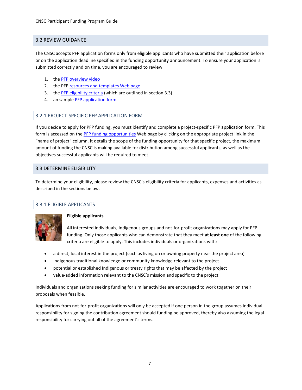# 3.2 REVIEW GUIDANCE

The CNSC accepts PFP application forms only from eligible applicants who have submitted their application before or on the application deadline specified in the funding opportunity announcement. To ensure your application is submitted correctly and on time, you are encouraged to review:

- 1. the [PFP overview video](http://nuclearsafety.gc.ca/eng/resources/videos/index.cfm)
- 2. the PFP [resources and templates Web](http://nuclearsafety.gc.ca/eng/the-commission/participant-funding-program/resources-and-templates.cfm) page
- 3. the [PFP eligibility criteria](http://nuclearsafety.gc.ca/eng/the-commission/participant-funding-program/eligibility-criteria.cfm) (which are outlined in section 3.3)
- 4. an sample [PFP application](http://nuclearsafety.gc.ca/eng/the-commission/participant-funding-program/documents/index.cfm) form

# 3.2.1 PROJECT-SPECIFIC PFP APPLICATION FORM

If you decide to apply for PFP funding, you must identify and complete a project-specific PFP application form. This form is accessed on th[e PFP funding opportunities](http://nuclearsafety.gc.ca/eng/the-commission/participant-funding-program/opportunities/index.cfm) Web page by clicking on the appropriate project link in the "name of project" column. It details the scope of the funding opportunity for that specific project, the maximum amount of funding the CNSC is making available for distribution among successful applicants, as well as the objectives successful applicants will be required to meet.

# 3.3 DETERMINE ELIGIBILITY

To determine your eligibility, please review the CNSC's eligibility criteria for applicants, expenses and activities as described in the sections below.

# 3.3.1 ELIGIBLE APPLICANTS



## **Eligible applicants**

All interested individuals, Indigenous groups and not-for-profit organizations may apply for PFP funding. Only those applicants who can demonstrate that they meet **at least one** of the following criteria are eligible to apply. This includes individuals or organizations with:

- a direct, local interest in the project (such as living on or owning property near the project area)
- Indigenous traditional knowledge or community knowledge relevant to the project
- potential or established Indigenous or treaty rights that may be affected by the project
- value-added information relevant to the CNSC's mission and specific to the project

Individuals and organizations seeking funding for similar activities are encouraged to work together on their proposals when feasible.

Applications from not-for-profit organizations will only be accepted if one person in the group assumes individual responsibility for signing the contribution agreement should funding be approved, thereby also assuming the legal responsibility for carrying out all of the agreement's terms.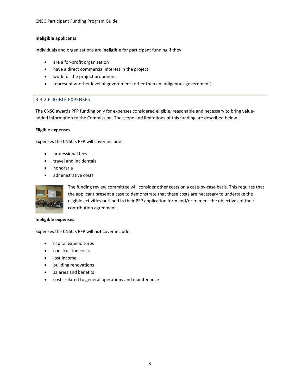## **Ineligible applicants**

Individuals and organizations are **ineligible** for participant funding if they:

- are a for-profit organization
- have a direct commercial interest in the project
- work for the project proponent
- represent another level of government (other than an Indigenous government)

# 3.3.2 ELIGIBLE EXPENSES

The CNSC awards PFP funding only for expenses considered eligible, reasonable and necessary to bring valueadded information to the Commission. The scope and limitations of this funding are described below.

## **Eligible expenses**

Expenses the CNSC's PFP will cover include:

- professional fees
- travel and incidentals
- honoraria
- administrative costs



The funding review committee will consider other costs on a case-by-case basis. This requires that the applicant present a case to demonstrate that these costs are necessary to undertake the eligible activities outlined in their PFP application form and/or to meet the objectives of their contribution agreement.

#### **Ineligible expenses**

Expenses the CNSC's PFP will **not** cover include:

- capital expenditures
- construction costs
- lost income
- building renovations
- salaries and benefits
- costs related to general operations and maintenance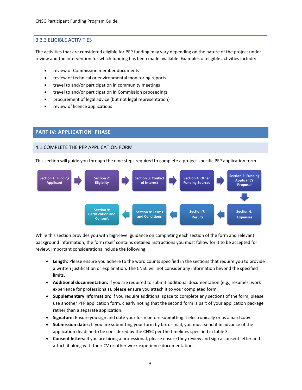# 3.3.3 ELIGIBLE ACTIVITIES

The activities that are considered eligible for PFP funding may vary depending on the nature of the project under review and the intervention for which funding has been made available. Examples of eligible activities include:

- review of Commission member documents
- review of technical or environmental monitoring reports
- travel to and/or participation in community meetings
- travel to and/or participation in Commission proceedings
- procurement of legal advice (but not legal representation)
- review of licence applications

## **PART IV: APPLICATION PHASE**

# 4.1 COMPLETE THE PFP APPLICATION FORM

This section will guide you through the nine steps required to complete a project-specific PFP application form.



While this section provides you with high-level guidance on completing each section of the form and relevant background information, the form itself contains detailed instructions you must follow for it to be accepted for review. Important considerations include the following:

- **Length:** Please ensure you adhere to the word counts specified in the sections that require you to provide a written justification or explanation. The CNSC will not consider any information beyond the specified limits.
- **Additional documentation:** If you are required to submit additional documentation (e.g., résumés, work experience for professionals)**,** please ensure you attach it to your completed form.
- **Supplementary information:** If you require additional space to complete any sections of the form, please use another PFP application form, clearly noting that the second form is part of your application package rather than a separate application.
- **Signature:** Ensure you sign and date your form before submitting it electronically or as a hard copy.
- **Submission dates:** If you are submitting your form by fax or mail, you must send it in advance of the application deadline to be considered by the CNSC per the timelines specified in table 3.
- **Consent letters:** If you are hiring a professional, please ensure they review and sign a consent letter and attach it along with their CV or other work experience documentation.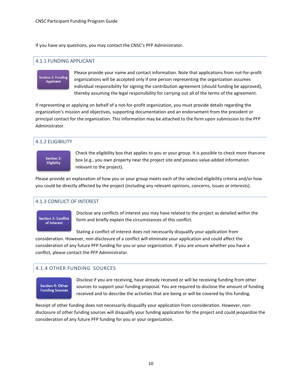If you have any questions, you may contact the CNSC's PFP Administrator.

# 4.1.1 FUNDING APPLICANT

# Section 1: Funding **Applicant**

Please provide your name and contact information. Note that applications from not-for-profit organizations will be accepted only if one person representing the organization assumes individual responsibility for signing the contribution agreement (should funding be approved), thereby assuming the legal responsibility for carrying out all of the terms of the agreement.

If representing or applying on behalf of a not-for-profit organization, you must provide details regarding the organization's mission and objectives, supporting documentation and an endorsement from the president or principal contact for the organization. This information may be attached to the form upon submission to the PFP Administrator.

# 4.1.2 ELIGIBILITY



Check the eligibility box that applies to you or your group. It is possible to check more thanone box (e.g., you own property near the project site *and* possess value-added information relevant to the project).

Please provide an explanation of how you or your group meets each of the selected eligibility criteria and/or how you could be directly affected by the project (including any relevant opinions, concerns, issues or interests).

# 4.1.3 CONFLICT OF INTEREST



Disclose any conflicts of interest you may have related to the project as detailed within the form and briefly explain the circumstances of this conflict.

Stating a conflict of interest does not necessarily disqualify your application from consideration. However, non-disclosure of a conflict will eliminate your application and could affect the consideration of any future PFP funding for you or your organization. If you are unsure whether you have a conflict, please contact the PFP Administrator.

# 4.1.4 OTHER FUNDING SOURCES

# Section 4: Other **Funding Sources**

Disclose if you are receiving, have already received or will be receiving funding from other sources to support your funding proposal. You are required to disclose the amount of funding received and to describe the activities that are being or will be covered by this funding.

Receipt of other funding does not necessarily disqualify your application from consideration. However, nondisclosure of other funding sources will disqualify your funding application for the project and could jeopardize the consideration of any future PFP funding for you or your organization.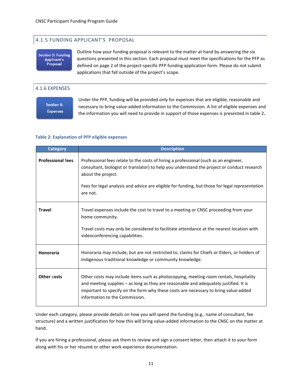# 4.1.5 FUNDING APPLICANT'S PROPOSAL

**Section 5: Funding Applicant's** Proposal

Outline how your funding proposal is relevant to the matter at hand by answering the six questions presented in this section. Each proposal must meet the specifications for the PFP as defined on page 2 of the project-specific PFP funding application form. Please do not submit applications that fall outside of the project's scope.

# 4.1.6 EXPENSES

Section 6: **Expenses**  Under the PFP, funding will be provided only for expenses that are eligible, reasonable and necessary to bring value-added information to the Commission. A list of eligible expenses and the information you will need to provide in support of those expenses is presented in table 2**.**

#### **Table 2: Explanation of PFP eligible expenses**

| <b>Category</b>          | <b>Description</b>                                                                                                                                                                                                                                                                                                       |
|--------------------------|--------------------------------------------------------------------------------------------------------------------------------------------------------------------------------------------------------------------------------------------------------------------------------------------------------------------------|
| <b>Professional fees</b> | Professional fees relate to the costs of hiring a professional (such as an engineer,<br>consultant, biologist or translator) to help you understand the project or conduct research<br>about the project.<br>Fees for legal analysis and advice are eligible for funding, but those for legal representation<br>are not. |
| <b>Travel</b>            | Travel expenses include the cost to travel to a meeting or CNSC proceeding from your<br>home community.<br>Travel costs may only be considered to facilitate attendance at the nearest location with<br>videoconferencing capabilities.                                                                                  |
| <b>Honoraria</b>         | Honoraria may include, but are not restricted to, claims for Chiefs or Elders, or holders of<br>Indigenous traditional knowledge or community knowledge.                                                                                                                                                                 |
| Other costs              | Other costs may include items such as photocopying, meeting room rentals, hospitality<br>and meeting supplies - as long as they are reasonable and adequately justified. It is<br>important to specify on the form why these costs are necessary to bring value-added<br>information to the Commission.                  |

Under each category, please provide details on how you will spend the funding (e.g., name of consultant, fee structure) and a written justification for how this will bring value-added information to the CNSC on the matter at hand.

If you are hiring a professional, please ask them to review and sign a consent letter, then attach it to your form along with his or her résumé or other work experience documentation.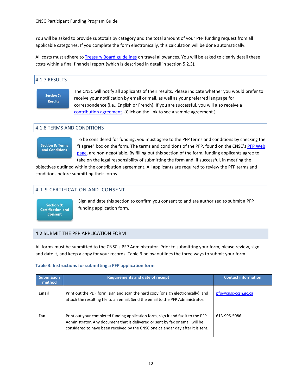You will be asked to provide subtotals by category and the total amount of your PFP funding request from all applicable categories. If you complete the form electronically, this calculation will be done automatically.

All costs must adhere t[o Treasury Board guidelines](http://www.njc-cnm.gc.ca/directive/index.php?sid=98&lang=eng) on travel allowances. You will be asked to clearly detail these costs within a final financial report (which is described in detail in section 5.2.3).

# 4.1.7 RESULTS

Section 7: **Results** 

The CNSC will notify all applicants of their results. Please indicate whether you would prefer to receive your notification by email or mail, as well as your preferred language for correspondence (i.e., English or French). If you are successful, you will also receive a [contribution agreement. \(](http://nuclearsafety.gc.ca/eng/the-commission/participant-funding-program/documents/index.cfm)Click on the link to see a sample agreement.)

# 4.1.8 TERMS AND CONDITIONS

# **Section 8: Terms** and Conditions

To be considered for funding, you must agree to the PFP terms and conditions by checking the "I agree" box on the form. The terms and conditions of the PFP, found on the CNSC'[s PFP Web](http://nuclearsafety.gc.ca/eng/the-commission/participant-funding-program/terms-and-conditions/index.cfm) [page, a](http://nuclearsafety.gc.ca/eng/the-commission/participant-funding-program/terms-and-conditions/index.cfm)re non-negotiable. By filling out this section of the form, funding applicants agree to take on the legal responsibility of submitting the form and, if successful, in meeting the

objectives outlined within the contribution agreement. All applicants are required to review the PFP terms and conditions before submitting their forms.

# 4.1.9 CERTIFICATION AND CONSENT

Section 9: **Certification and Consent** 

Sign and date this section to confirm you consent to and are authorized to submit a PFP funding application form.

## 4.2 SUBMIT THE PFP APPLICATION FORM

All forms must be submitted to the CNSC's PFP Administrator. Prior to submitting your form, please review, sign and date it, and keep a copy for your records. Table 3 below outlines the three ways to submit your form.

## **Table 3: Instructions for submitting a PFP application form**

| <b>Submission</b><br>method | <b>Requirements and date of receipt</b>                                                                                                                                                                                                              | <b>Contact information</b> |
|-----------------------------|------------------------------------------------------------------------------------------------------------------------------------------------------------------------------------------------------------------------------------------------------|----------------------------|
| Email                       | Print out the PDF form, sign and scan the hard copy (or sign electronically), and<br>attach the resulting file to an email. Send the email to the PFP Administrator.                                                                                 | pfp@cnsc-ccsn.gc.ca        |
| Fax                         | Print out your completed funding application form, sign it and fax it to the PFP<br>Administrator. Any document that is delivered or sent by fax or email will be<br>considered to have been received by the CNSC one calendar day after it is sent. | 613-995-5086               |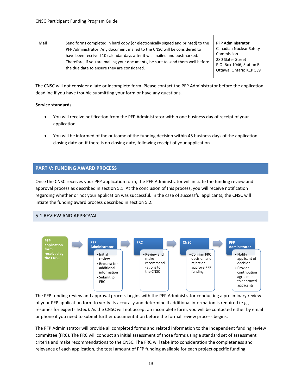| Mail | Send forms completed in hard copy (or electronically signed and printed) to the<br>PFP Administrator. Any document mailed to the CNSC will be considered to<br>have been received 10 calendar days after it was mailed and postmarked.<br>Therefore, if you are mailing your documents, be sure to send them well before<br>the due date to ensure they are considered. | <b>PFP Administrator</b><br>Canadian Nuclear Safety<br>Commission<br>280 Slater Street<br>P.O. Box 1046, Station B<br>Ottawa, Ontario K1P 5S9 |
|------|-------------------------------------------------------------------------------------------------------------------------------------------------------------------------------------------------------------------------------------------------------------------------------------------------------------------------------------------------------------------------|-----------------------------------------------------------------------------------------------------------------------------------------------|
|------|-------------------------------------------------------------------------------------------------------------------------------------------------------------------------------------------------------------------------------------------------------------------------------------------------------------------------------------------------------------------------|-----------------------------------------------------------------------------------------------------------------------------------------------|

The CNSC will not consider a late or incomplete form. Please contact the PFP Administrator before the application deadline if you have trouble submitting your form or have any questions.

#### **Service standards**

- You will receive notification from the PFP Administrator within one business day of receipt of your application.
- You will be informed of the outcome of the funding decision within 45 business days of the application closing date or, if there is no closing date, following receipt of your application.

# **PART V: FUNDING AWARD PROCESS**

Once the CNSC receives your PFP application form, the PFP Administrator will initiate the funding review and approval process as described in section 5.1. At the conclusion of this process, you will receive notification regarding whether or not your application was successful. In the case of successful applicants, the CNSC will intiate the funding award process described in section 5.2.

## 5.1 REVIEW AND APPROVAL



The PFP funding review and approval process begins with the PFP Administrator conducting a preliminary review of your PFP application form to verify its accuracy and determine if additional information is required (e.g., résumés for experts listed). As the CNSC will not accept an incomplete form, you will be contacted either by email or phone if you need to submit further documentation before the formal review process begins.

The PFP Administrator will provide all completed forms and related information to the independent funding review committee (FRC). The FRC will conduct an initial assessment of those forms using a standard set of assessment criteria and make recommendations to the CNSC. The FRC will take into consideration the completeness and relevance of each application, the total amount of PFP funding available for each project-specific funding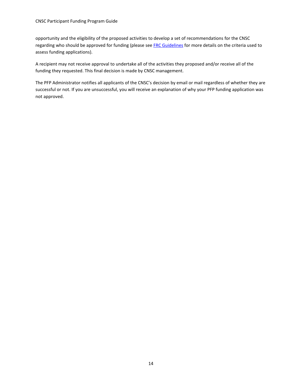#### CNSC Participant Funding Program Guide

opportunity and the eligibility of the proposed activities to develop a set of recommendations for the CNSC regarding who should be approved for funding (please see [FRC Guidelines](http://www.nuclearsafety.gc.ca/eng/pdfs/participant-funding-program/Funding-Review-Committee-Guidelines-eng.pdf) for more details on the criteria used to assess funding applications).

A recipient may not receive approval to undertake all of the activities they proposed and/or receive all of the funding they requested. This final decision is made by CNSC management.

The PFP Administrator notifies all applicants of the CNSC's decision by email or mail regardless of whether they are successful or not. If you are unsuccessful, you will receive an explanation of why your PFP funding application was not approved.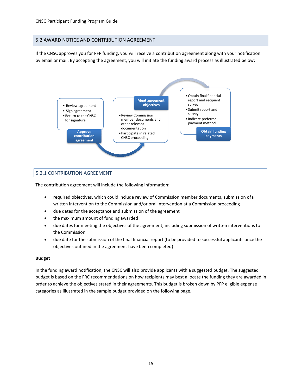# 5.2 AWARD NOTICE AND CONTRIBUTION AGREEMENT

If the CNSC approves you for PFP funding, you will receive a contribution agreement along with your notification by email or mail. By accepting the agreement, you will initiate the funding award process as illustrated below:



# 5.2.1 CONTRIBUTION AGREEMENT

The contribution agreement will include the following information:

- required objectives, which could include review of Commission member documents, submission ofa written intervention to the Commission and/or oral intervention at a Commission proceeding
- due dates for the acceptance and submission of the agreement
- the maximum amount of funding awarded
- due dates for meeting the objectives of the agreement, including submission of written interventions to the Commission
- due date for the submission of the final financial report (to be provided to successful applicants once the objectives outlined in the agreement have been completed)

#### **Budget**

In the funding award notification, the CNSC will also provide applicants with a suggested budget. The suggested budget is based on the FRC recommendations on how recipients may best allocate the funding they are awarded in order to achieve the objectives stated in their agreements. This budget is broken down by PFP eligible expense categories as illustrated in the sample budget provided on the following page.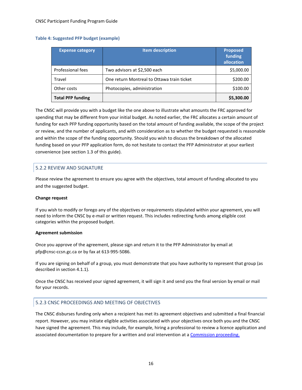## **Table 4: Suggested PFP budget (example)**

| <b>Expense category</b>  | <b>Item description</b>                    | <b>Proposed</b><br>funding<br>allocation |
|--------------------------|--------------------------------------------|------------------------------------------|
| Professional fees        | Two advisors at \$2,500 each               | \$5,000.00                               |
| Travel                   | One return Montreal to Ottawa train ticket | \$200.00                                 |
| Other costs              | Photocopies, administration                | \$100.00                                 |
| <b>Total PFP funding</b> |                                            | \$5,300.00                               |

The CNSC will provide you with a budget like the one above to illustrate what amounts the FRC approved for spending that may be different from your initial budget. As noted earlier, the FRC allocates a certain amount of funding for each PFP funding opportunity based on the total amount of funding available, the scope of the project or review, and the number of applicants, and with consideration as to whether the budget requested is reasonable and within the scope of the funding opportunity. Should you wish to discuss the breakdown of the allocated funding based on your PFP application form, do not hesitate to contact the PFP Administrator at your earliest convenience (see section 1.3 of this guide).

# 5.2.2 REVIEW AND SIGNATURE

Please review the agreement to ensure you agree with the objectives, total amount of funding allocated to you and the suggested budget.

#### **Change request**

If you wish to modify or forego any of the objectives or requirements stipulated within your agreement, you will need to inform the CNSC by e-mail or written request. This includes redirecting funds among eligible cost categories within the proposed budget.

#### **Agreement submission**

Once you approve of the agreement, please sign and return it to the PFP Administrator by email at pfp@cnsc-ccsn.gc.ca or by fax at 613-995-5086.

If you are signing on behalf of a group, you must demonstrate that you have authority to represent that group (as described in section 4.1.1).

Once the CNSC has received your signed agreement, it will sign it and send you the final version by email or mail for your records.

## 5.2.3 CNSC PROCEEDINGS AND MEETING OF OBJECTIVES

The CNSC disburses funding only when a recipient has met its agreement objectives and submitted a final financial report. However, you may initiate eligible activities associated with your objectives once both you and the CNSC have signed the agreement. This may include, for example, hiring a professional to review a licence application and associated documentation to prepare for a written and oral intervention at a [Commission proceeding.](http://nuclearsafety.gc.ca/eng/the-commission/participant-funding-program/opportunities/pfp-funding-for-topics-of-regulatory-interest.cfm#upcoming)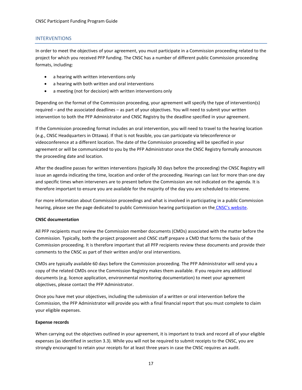#### INTERVENTIONS

In order to meet the objectives of your agreement, you must participate in a Commission proceeding related to the project for which you received PFP funding. The CNSC has a number of different public Commission proceeding formats, including:

- a hearing with written interventions only
- a hearing with both written and oral interventions
- a meeting (not for decision) with written interventions only

Depending on the format of the Commission proceeding, your agreement will specify the type of intervention(s) required – and the associated deadlines – as part of your objectives. You will need to submit your written intervention to both the PFP Administrator and CNSC Registry by the deadline specified in your agreement.

If the Commission proceeding format includes an oral intervention, you will need to travel to the hearing location (e.g., CNSC Headquarters in Ottawa). If that is not feasible, you can participate via teleconference or videoconference at a different location. The date of the Commission proceeding will be specified in your agreement or will be communicated to you by the PFP Administrator once the CNSC Registry formally announces the proceeding date and location.

After the deadline passes for written interventions (typically 30 days before the proceeding) the CNSC Registry will issue an agenda indicating the time, location and order of the proceeding. Hearings can last for more than one day and specific times when interveners are to present before the Commission are not indicated on the agenda. It is therefore important to ensure you are available for the majority of the day you are scheduled to intervene.

For more information about Commission proceedings and what is involved in participating in a public Commission hearing, please see the page dedicated to public Commission hearing participation on the [CNSC's website.](http://nuclearsafety.gc.ca/eng/the-commission/hearings/participate/index.cfm)

#### **CNSC documentation**

All PFP recipients must review the Commission member documents (CMDs) associated with the matter before the Commission. Typically, both the project proponent and CNSC staff prepare a CMD that forms the basis of the Commission proceeding. It is therefore important that all PFP recipients review these documents and provide their comments to the CNSC as part of their written and/or oral interventions.

CMDs are typically available 60 days before the Commission proceeding. The PFP Administrator will send you a copy of the related CMDs once the Commission Registry makes them available. If you require any additional documents (e.g. licence application, environmental monitoring documentation) to meet your agreement objectives, please contact the PFP Administrator.

Once you have met your objectives, including the submission of a written or oral intervention before the Commission, the PFP Administrator will provide you with a final financial report that you must complete to claim your eligible expenses.

#### **Expense records**

When carrying out the objectives outlined in your agreement, it is important to track and record all of your eligible expenses (as identified in section 3.3). While you will not be required to submit receipts to the CNSC, you are strongly encouraged to retain your receipts for at least three years in case the CNSC requires an audit.